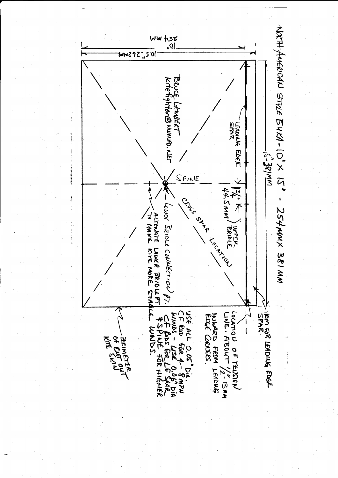

 $254n$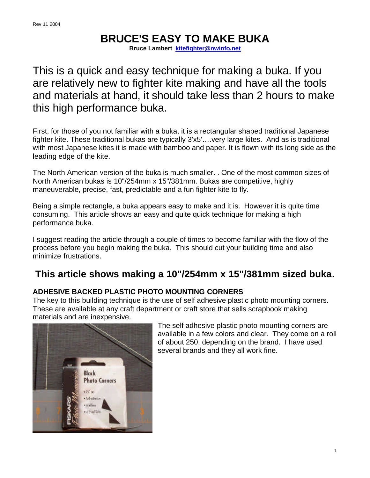# **BRUCE'S EASY TO MAKE BUKA**

**Bruce Lambert kitefighter@nwinfo.net**

This is a quick and easy technique for making a buka. If you are relatively new to fighter kite making and have all the tools and materials at hand, it should take less than 2 hours to make this high performance buka.

First, for those of you not familiar with a buka, it is a rectangular shaped traditional Japanese fighter kite. These traditional bukas are typically 3'x5'….very large kites. And as is traditional with most Japanese kites it is made with bamboo and paper. It is flown with its long side as the leading edge of the kite.

The North American version of the buka is much smaller. . One of the most common sizes of North American bukas is 10"/254mm x 15"/381mm. Bukas are competitive, highly maneuverable, precise, fast, predictable and a fun fighter kite to fly.

Being a simple rectangle, a buka appears easy to make and it is. However it is quite time consuming. This article shows an easy and quite quick technique for making a high performance buka.

I suggest reading the article through a couple of times to become familiar with the flow of the process before you begin making the buka. This should cut your building time and also minimize frustrations.

# **This article shows making a 10"/254mm x 15"/381mm sized buka.**

# **ADHESIVE BACKED PLASTIC PHOTO MOUNTING CORNERS**

The key to this building technique is the use of self adhesive plastic photo mounting corners. These are available at any craft department or craft store that sells scrapbook making materials and are inexpensive.



The self adhesive plastic photo mounting corners are available in a few colors and clear. They come on a roll of about 250, depending on the brand. I have used several brands and they all work fine.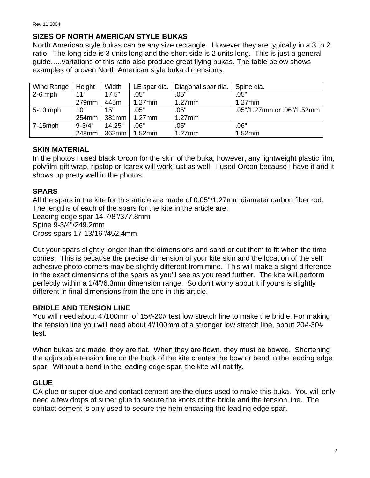#### **SIZES OF NORTH AMERICAN STYLE BUKAS**

North American style bukas can be any size rectangle. However they are typically in a 3 to 2 ratio. The long side is 3 units long and the short side is 2 units long. This is just a general guide…..variations of this ratio also produce great flying bukas. The table below shows examples of proven North American style buka dimensions.

| Wind Range | Height            | Width  | LE spar dia. | Diagonal spar dia. | Spine dia.                 |
|------------|-------------------|--------|--------------|--------------------|----------------------------|
| $2-6$ mph  | 11"               | 17.5"  | .05"         | .05"               | .05"                       |
|            | 279mm             | 445m   | $1.27$ mm    | $1.27$ mm          | $1.27$ mm                  |
| $5-10$ mph | 10"               | 15"    | .05"         | .05"               | .05"/1.27mm or .06"/1.52mm |
|            | 254 <sub>mm</sub> | 381mm  | $1.27$ mm    | $1.27$ mm          |                            |
| 7-15mph    | $9 - 3/4"$        | 14.25" | .06"         | .05"               | .06"                       |
|            | 248mm             | 362mm  | $1.52$ mm    | $1.27$ mm          | 1.52mm                     |

#### **SKIN MATERIAL**

In the photos I used black Orcon for the skin of the buka, however, any lightweight plastic film, polyfilm gift wrap, ripstop or Icarex will work just as well. I used Orcon because I have it and it shows up pretty well in the photos.

#### **SPARS**

All the spars in the kite for this article are made of 0.05"/1.27mm diameter carbon fiber rod. The lengths of each of the spars for the kite in the article are: Leading edge spar 14-7/8"/377.8mm Spine 9-3/4"/249.2mm Cross spars 17-13/16"/452.4mm

Cut your spars slightly longer than the dimensions and sand or cut them to fit when the time comes. This is because the precise dimension of your kite skin and the location of the self adhesive photo corners may be slightly different from mine. This will make a slight difference in the exact dimensions of the spars as you'll see as you read further. The kite will perform perfectly within a 1/4"/6.3mm dimension range. So don't worry about it if yours is slightly different in final dimensions from the one in this article.

# **BRIDLE AND TENSION LINE**

You will need about 4'/100mm of 15#-20# test low stretch line to make the bridle. For making the tension line you will need about 4'/100mm of a stronger low stretch line, about 20#-30# test.

When bukas are made, they are flat. When they are flown, they must be bowed. Shortening the adjustable tension line on the back of the kite creates the bow or bend in the leading edge spar. Without a bend in the leading edge spar, the kite will not fly.

#### **GLUE**

CA glue or super glue and contact cement are the glues used to make this buka. You will only need a few drops of super glue to secure the knots of the bridle and the tension line. The contact cement is only used to secure the hem encasing the leading edge spar.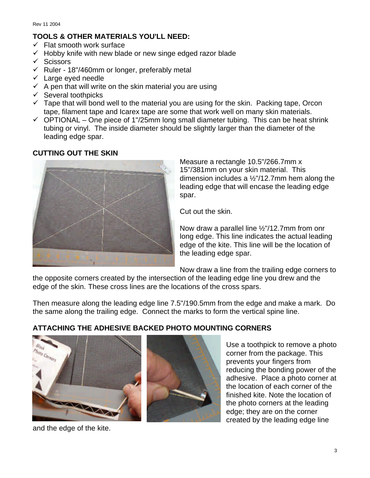#### **TOOLS & OTHER MATERIALS YOU'LL NEED:**

- $\checkmark$  Flat smooth work surface
- $\checkmark$  Hobby knife with new blade or new singe edged razor blade
- $\checkmark$  Scissors
- $\checkmark$  Ruler 18"/460mm or longer, preferably metal
- $\checkmark$  Large eyed needle
- $\checkmark$  A pen that will write on the skin material you are using
- $\checkmark$  Several toothpicks
- $\checkmark$  Tape that will bond well to the material you are using for the skin. Packing tape, Orcon tape, filament tape and Icarex tape are some that work well on many skin materials.
- $\checkmark$  OPTIONAL One piece of 1"/25mm long small diameter tubing. This can be heat shrink tubing or vinyl. The inside diameter should be slightly larger than the diameter of the leading edge spar.

#### **CUTTING OUT THE SKIN**



Measure a rectangle 10.5"/266.7mm x 15"/381mm on your skin material. This dimension includes a ½"/12.7mm hem along the leading edge that will encase the leading edge spar.

Cut out the skin.

Now draw a parallel line ½"/12.7mm from onr long edge. This line indicates the actual leading edge of the kite. This line will be the location of the leading edge spar.

Now draw a line from the trailing edge corners to

the opposite corners created by the intersection of the leading edge line you drew and the edge of the skin. These cross lines are the locations of the cross spars.

Then measure along the leading edge line 7.5"/190.5mm from the edge and make a mark. Do the same along the trailing edge. Connect the marks to form the vertical spine line.

# **ATTACHING THE ADHESIVE BACKED PHOTO MOUNTING CORNERS**





Use a toothpick to remove a photo corner from the package. This prevents your fingers from reducing the bonding power of the adhesive. Place a photo corner at the location of each corner of the finished kite. Note the location of the photo corners at the leading edge; they are on the corner created by the leading edge line

and the edge of the kite.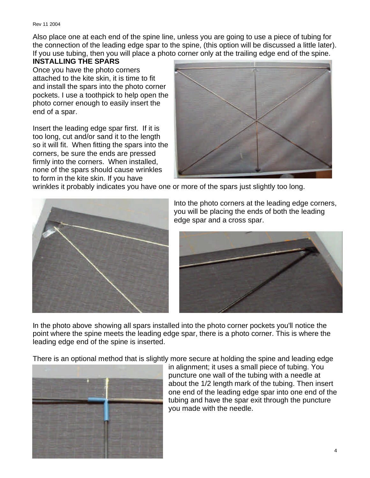Also place one at each end of the spine line, unless you are going to use a piece of tubing for the connection of the leading edge spar to the spine, (this option will be discussed a little later). If you use tubing, then you will place a photo corner only at the trailing edge end of the spine.

#### **INSTALLING THE SPARS**

Once you have the photo corners attached to the kite skin, it is time to fit and install the spars into the photo corner pockets. I use a toothpick to help open the photo corner enough to easily insert the end of a spar.

Insert the leading edge spar first. If it is too long, cut and/or sand it to the length so it will fit. When fitting the spars into the corners, be sure the ends are pressed firmly into the corners. When installed, none of the spars should cause wrinkles to form in the kite skin. If you have



wrinkles it probably indicates you have one or more of the spars just slightly too long.



Into the photo corners at the leading edge corners, you will be placing the ends of both the leading edge spar and a cross spar.



In the photo above showing all spars installed into the photo corner pockets you'll notice the point where the spine meets the leading edge spar, there is a photo corner. This is where the leading edge end of the spine is inserted.

There is an optional method that is slightly more secure at holding the spine and leading edge



in alignment; it uses a small piece of tubing. You puncture one wall of the tubing with a needle at about the 1/2 length mark of the tubing. Then insert one end of the leading edge spar into one end of the tubing and have the spar exit through the puncture you made with the needle.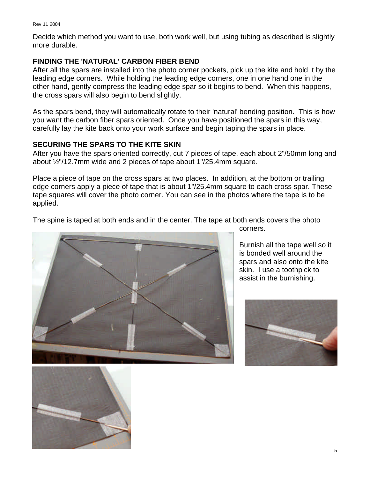Decide which method you want to use, both work well, but using tubing as described is slightly more durable.

#### **FINDING THE 'NATURAL' CARBON FIBER BEND**

After all the spars are installed into the photo corner pockets, pick up the kite and hold it by the leading edge corners. While holding the leading edge corners, one in one hand one in the other hand, gently compress the leading edge spar so it begins to bend. When this happens, the cross spars will also begin to bend slightly.

As the spars bend, they will automatically rotate to their 'natural' bending position. This is how you want the carbon fiber spars oriented. Once you have positioned the spars in this way, carefully lay the kite back onto your work surface and begin taping the spars in place.

#### **SECURING THE SPARS TO THE KITE SKIN**

After you have the spars oriented correctly, cut 7 pieces of tape, each about 2"/50mm long and about ½"/12.7mm wide and 2 pieces of tape about 1"/25.4mm square.

Place a piece of tape on the cross spars at two places. In addition, at the bottom or trailing edge corners apply a piece of tape that is about 1"/25.4mm square to each cross spar. These tape squares will cover the photo corner. You can see in the photos where the tape is to be applied.

The spine is taped at both ends and in the center. The tape at both ends covers the photo



Burnish all the tape well so it is bonded well around the spars and also onto the kite skin. I use a toothpick to

assist in the burnishing.

corners.



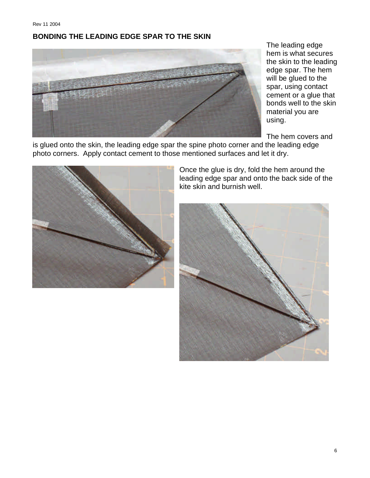#### **BONDING THE LEADING EDGE SPAR TO THE SKIN**



The leading edge hem is what secures the skin to the leading edge spar. The hem will be glued to the spar, using contact cement or a glue that bonds well to the skin material you are using.

The hem covers and

is glued onto the skin, the leading edge spar the spine photo corner and the leading edge photo corners. Apply contact cement to those mentioned surfaces and let it dry.



Once the glue is dry, fold the hem around the leading edge spar and onto the back side of the kite skin and burnish well.

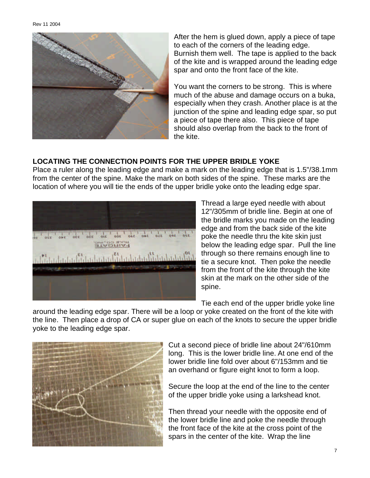

After the hem is glued down, apply a piece of tape to each of the corners of the leading edge. Burnish them well. The tape is applied to the back of the kite and is wrapped around the leading edge spar and onto the front face of the kite.

You want the corners to be strong. This is where much of the abuse and damage occurs on a buka, especially when they crash. Another place is at the junction of the spine and leading edge spar, so put a piece of tape there also. This piece of tape should also overlap from the back to the front of the kite.

#### **LOCATING THE CONNECTION POINTS FOR THE UPPER BRIDLE YOKE**

Place a ruler along the leading edge and make a mark on the leading edge that is 1.5"/38.1mm from the center of the spine. Make the mark on both sides of the spine. These marks are the location of where you will tie the ends of the upper bridle yoke onto the leading edge spar.



Thread a large eyed needle with about 12"/305mm of bridle line. Begin at one of the bridle marks you made on the leading edge and from the back side of the kite poke the needle thru the kite skin just below the leading edge spar. Pull the line through so there remains enough line to tie a secure knot. Then poke the needle from the front of the kite through the kite skin at the mark on the other side of the spine.

Tie each end of the upper bridle yoke line

around the leading edge spar. There will be a loop or yoke created on the front of the kite with the line. Then place a drop of CA or super glue on each of the knots to secure the upper bridle yoke to the leading edge spar.



Cut a second piece of bridle line about 24"/610mm long. This is the lower bridle line. At one end of the lower bridle line fold over about 6"/153mm and tie an overhand or figure eight knot to form a loop.

Secure the loop at the end of the line to the center of the upper bridle yoke using a larkshead knot.

Then thread your needle with the opposite end of the lower bridle line and poke the needle through the front face of the kite at the cross point of the spars in the center of the kite. Wrap the line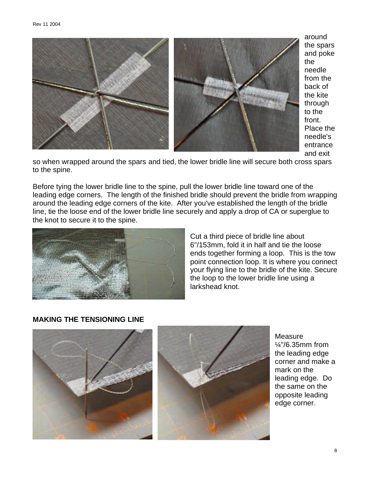

around the spars and poke the needle from the back of the kite through to the front. Place the needle's entrance and exit

so when wrapped around the spars and tied, the lower bridle line will secure both cross spars to the spine.

Before tying the lower bridle line to the spine, pull the lower bridle line toward one of the leading edge corners. The length of the finished bridle should prevent the bridle from wrapping around the leading edge corners of the kite. After you've established the length of the bridle line, tie the loose end of the lower bridle line securely and apply a drop of CA or superglue to the knot to secure it to the spine.



Cut a third piece of bridle line about 6"/153mm, fold it in half and tie the loose ends together forming a loop. This is the tow point connection loop. It is where you connect your flying line to the bridle of the kite. Secure the loop to the lower bridle line using a larkshead knot.

# **MAKING THE TENSIONING LINE**



**Measure** ¼"/6.35mm from the leading edge corner and make a mark on the leading edge. Do the same on the opposite leading edge corner.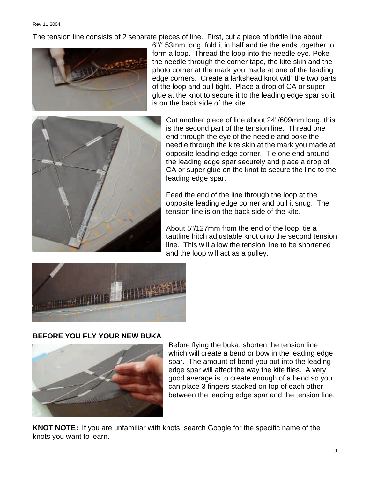The tension line consists of 2 separate pieces of line. First, cut a piece of bridle line about



6"/153mm long, fold it in half and tie the ends together to form a loop. Thread the loop into the needle eye. Poke the needle through the corner tape, the kite skin and the photo corner at the mark you made at one of the leading edge corners. Create a larkshead knot with the two parts of the loop and pull tight. Place a drop of CA or super glue at the knot to secure it to the leading edge spar so it is on the back side of the kite.



Cut another piece of line about 24"/609mm long, this is the second part of the tension line. Thread one end through the eye of the needle and poke the needle through the kite skin at the mark you made at opposite leading edge corner. Tie one end around the leading edge spar securely and place a drop of CA or super glue on the knot to secure the line to the leading edge spar.

Feed the end of the line through the loop at the opposite leading edge corner and pull it snug. The tension line is on the back side of the kite.

About 5"/127mm from the end of the loop, tie a tautline hitch adjustable knot onto the second tension line. This will allow the tension line to be shortened and the loop will act as a pulley.



# **BEFORE YOU FLY YOUR NEW BUKA**



Before flying the buka, shorten the tension line which will create a bend or bow in the leading edge spar. The amount of bend you put into the leading edge spar will affect the way the kite flies. A very good average is to create enough of a bend so you can place 3 fingers stacked on top of each other between the leading edge spar and the tension line.

**KNOT NOTE:** If you are unfamiliar with knots, search Google for the specific name of the knots you want to learn.